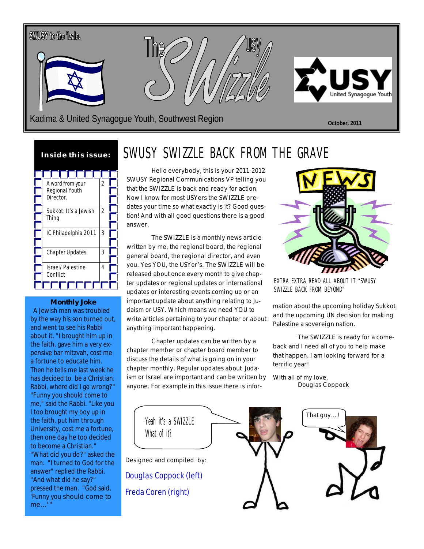



#### **Monthly Joke**

 A Jewish man was troubled by the way his son turned out, and went to see his Rabbi about it. "I brought him up in the faith, gave him a very expensive bar mitzvah, cost me a fortune to educate him. Then he tells me last week he has decided to be a Christian. Rabbi, where did I go wrong?" "Funny you should come to me," said the Rabbi. "Like you I too brought my boy up in the faith, put him through University, cost me a fortune, then one day he too decided to become a Christian." "What did you do?" asked the man. "I turned to God for the answer" replied the Rabbi. "And what did he say?" pressed the man. "God said, 'Funny you should come to me...<sup>'</sup>

## SWUSY SWIZZLE BACK FROM THE GRAVE

Hello everybody, this is your 2011-2012 SWUSY Regional Communications VP telling you that the SWIZZLE is back and ready for action. Now I know for most USYers the SWIZZLE predates your time so what exactly is it? Good question! And with all good questions there is a good answer.

The SWIZZLE is a monthly news article written by me, the regional board, the regional general board, the regional director, and even you. Yes YOU, the USYer's. The SWIZZLE will be released about once every month to give chapter updates or regional updates or international updates or interesting events coming up or an important update about anything relating to Judaism or USY. Which means we need YOU to write articles pertaining to your chapter or about anything important happening.

Chapter updates can be written by a chapter member or chapter board member to discuss the details of what is going on in your chapter monthly. Regular updates about Judaism or Israel are important and can be written by anyone. For example in this issue there is infor-



EXTRA EXTRA READ ALL ABOUT IT "SWUSY SWIZZLE BACK FROM BEYOND"

mation about the upcoming holiday Sukkot and the upcoming UN decision for making Palestine a sovereign nation.

The SWIZZLE is ready for a comeback and I need all of you to help make that happen. I am looking forward for a terrific year!

With all of my love, Douglas Coppock

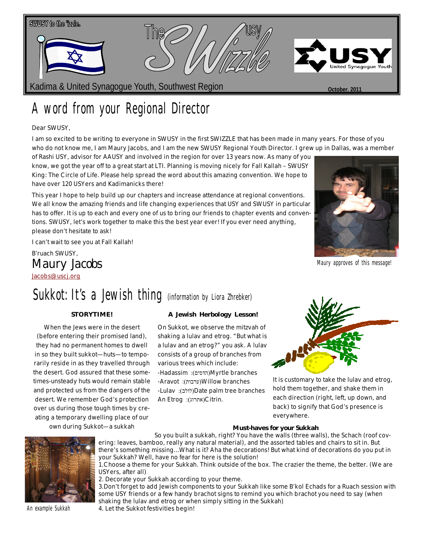

## A word from your Regional Director

#### Dear SWUSY,

I am so excited to be writing to everyone in SWUSY in the first SWIZZLE that has been made in many years. For those of you who do not know me, I am Maury Jacobs, and I am the new SWUSY Regional Youth Director. I grew up in Dallas, was a member

of Rashi USY, advisor for AAUSY and involved in the region for over 13 years now. As many of you know, we got the year off to a great start at LTI. Planning is moving nicely for Fall Kallah – SWUSY King: The Circle of Life. Please help spread the word about this amazing convention. We hope to have over 120 USYers and Kadimanicks there!

This year I hope to help build up our chapters and increase attendance at regional conventions. We all know the amazing friends and life changing experiences that USY and SWUSY in particular has to offer. It is up to each and every one of us to bring our friends to chapter events and conventions. SWUSY, let's work together to make this the best year ever! If you ever need anything, please don't hesitate to ask!

I can't wait to see you at Fall Kallah!

B'ruach SWUSY, Maury Jacobs Jacobs@uscj.org

## Sukkot: It's a Jewish thing (information by Liora Zhrebker)

### **STORYTIME!**

When the Jews were in the desert (before entering their promised land), they had no permanent homes to dwell in so they built sukkot—huts—to temporarily reside in as they travelled through the desert. God assured that these sometimes-unsteady huts would remain stable and protected us from the dangers of the desert. We remember God's protection over us during those tough times by creating a temporary dwelling place of our own during Sukkot—a sukkah

**A Jewish Herbology Lesson!**

On Sukkot, we observe the mitzvah of shaking a lulav and etrog. "But what is a lulav and an etrog?" you ask. A lulav consists of a group of branches from various trees which include: -Hadassim :הדסים)<br/>Myrtle branches -Aravot :(ערבות)Willow branches -Lulav :(לולב)Date palm tree branches An Etrog :(אתרוג)Citrin.



It is customary to take the lulav and etrog, hold them together, and shake them in each direction (right, left, up down, and back) to signify that God's presence is everywhere.

**Must-haves for your Sukkah**

So you built a sukkah, right? You have the walls (three walls), the Schach (roof covering: leaves, bamboo, really any natural material), and the assorted tables and chairs to sit in. But there's something missing...What is it? Aha the decorations! But what kind of decorations do you put in your Sukkah? Well, have no fear for here is the solution!

1.Choose a theme for your Sukkah. Think outside of the box. The crazier the theme, the better. (We are USYers, after all)

2. Decorate your Sukkah according to your theme.

3.Don't forget to add Jewish components to your Sukkah like some B'kol Echads for a Ruach session with some USY friends or a few handy brachot signs to remind you which brachot you need to say (when shaking the lulav and etrog or when simply sitting in the Sukkah)



An example Sukkah

4. Let the Sukkot festivities begin!

Maury approves of this message!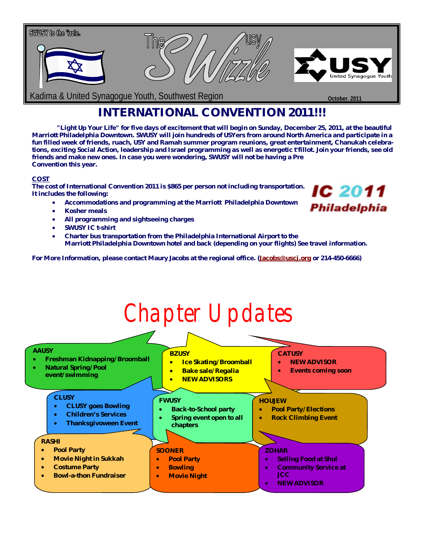

Kadima & United Synagogue Youth, Southwest Region **Container and Construction** Cotober. 2011

## **INTERNATIONAL CONVENTION 2011!!!**

**"Light Up Your Life" for five days of excitement that will begin on Sunday, December 25, 2011, at the beautiful Marriott Philadelphia Downtown. SWUSY will join hundreds of USYers from around North America and participate in a fun filled week of friends, ruach, USY and Ramah summer program reunions, great entertainment, Chanukah celebrations, exciting Social Action, leadership and Israel programming as well as energetic t'fillot. Join your friends, see old friends and make new ones. In case you were wondering, SWUSY will not be having a Pre Convention this year.**

IC 2011

Philadelphia

### **COST**

**The cost of International Convention 2011 is \$865 per person not including transportation. It includes the following:**

- **Accommodations and programming at the Marriott Philadelphia Downtown**
- **Kosher meals**
- **All programming and sightseeing charges**
- **SWUSY IC t-shirt**
- **Charter bus transportation from the Philadelphia International Airport to the Marriott Philadelphia Downtown hotel and back (depending on your flights) See travel information.**

**For More Information, please contact** *Maury Jacobs* **at the regional office. (Jacobs@uscj.org or 214-450-6666)**